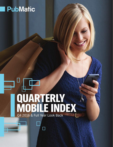# **PubMatic**

# QUARTERLY MOBILE INDEX Q4 2016 & Full Year Look Back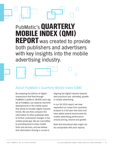# PubMatic's QUARTERLY MOBILE INDEX (QMI) **REPORT** was created to provide both publishers and advertisers with key insights into the mobile advertising industry.

# About PubMatic's Quarterly Mobile Index (QMI):

By analyzing the billions of digital impressions that flow through PubMatic's platform, SEVEN, each day, we at PubMatic can observe real-time developments in the mobile space that allude to broader digital industry trends. We can then compare this information to other published data to further understand changes in the mobile landscape. We are committed to providing best-in-class mobile tools and services, and we believe that information sharing is crucial in

aligning the digital industry towards best practices and, ultimately, growth in mobile advertising.

In our Q4 2016 report, we have expanded our scope from quarterly analysis to a full year look back and have added several benchmarks for mobile advertising performance around pricing, volume and growth.

Note that directional data might not be comparable with prior reports.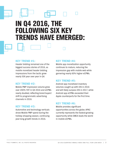# IN Q4 2016, THE FOLLOWING SIX KEY TRENDS HAVE EMERGED:

### KEY TREND #1:

Header bidding remained one of the biggest success stories of 2016, as mobile monetized header bidding impressions from the tactic grew nearly 50X year over year in Q4.

## KEY TREND #2:

Mobile PMP impression volume grew over 200% YOY in Q4 2016 and eCPMs nearly doubled, reflecting brand buyers' shift to programmatic advertising channels in 2016.

### KEY TREND #3:

Automotive and technology verticals drove Mobile PMP spend during the holiday shopping season, continuing year-long growth trends in 2016.

### KEY TREND #4:

Mobile app monetization opportunity continues to mature, reducing the impression gap with mobile web while garnering nearly 60% higher eCPMs.

## KEY TREND #5:

Android app monetized inventory volumes caught up with iOS in 2016 and will likely surpass iOS in 2017, while Android app eCPMs exceeded their Apple counterparts for the first time.

## KEY TREND #6:

Mobile provides significant opportunities across the globe; APAC currently represents the fastest-growing opportunity while EMEA leads the world in mobile eCPMs.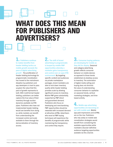# WHAT DOES THIS MEAN FOR PUBLISHERS AND ADVERTISERS?

1. **Publishers continue to realize benefits from header bidding tactics as mobile growth exceeds the pace of digital advertising growth**<sup>1</sup> **.** The proliferation of header bidding technology for programmatic monetization has moved to the mainstream. Adoption by publishers and app developers is hard to pass up given the value that this pace of growth represents to both. With multi-format header bidding, publishers can better capture the true value of their inventory through auction dynamics available via RTB pipes. Publishers who have not implemented header bidding would see benefits from doing so, while markets can benefit from understanding the increased control and scale available to them through the democratization of inventory access.

**The shift of brand advertising to programmatic is buoyed by mobile PMP opportunities whereby a marketer gains transparency and control over an open RTB environment.** By targeting specific content and audiences via private marketplace packages, brand marketers are able to lock down inventory quality while header bidding provides scale by allowing significant access to inventory. Mobile PMP grew substantially, supported by PMP direct and guaranteed demand. Publishers who focus on developing and merchandising PMP opportunities should be rewarded with increased demand at attractive eCPMs. Advertisers who excel at PMP buying techniques will experience the benefits of programmatic while maintaining the transparency and control they require.

3. **Consumer buying patterns are developing for mobile as they did for display.** Seasonal and category advertising growth reflects consumer behavior on mobile devices as opposed to those trends established via desktop access to inventory. The automation of digital media selling and buying does not diminish the value of understanding consumer behavior to capitalize on seasonal trends, vertical marketing strategies, and time based activity.

4. **Mobile app advertising opportunities are becoming on par with mobile web.** Mobile app paid impressions and eCPMs are on the rise. Publishers who rely solely on mobile web monetization strategies would benefit from considering the available opportunities while marketers discover definitive audience targeting opportunities available via this channel.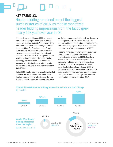## KEY TREND #1:

Header bidding remained one of the biggest success stories of 2016, as mobile monetized header bidding impressions from the tactic grew nearly 50X year over year in Q4.

2016 was the year that header bidding matured from a new technological innovation to become known as a standard method of digital advertising transaction. Publishers identified higher CPMs as the greatest benefit of bidding adoption<sup>2</sup>, while buyers relished the increased access to quality inventory across both desktop and mobile web platforms. Over the course of 2016, global mobile web impressions monetized via header bidding technology increased over 4,800% versus the year prior, when the tactic was relatively new to the industry, particularly in markets outside of the United States.

During 2016, header bidding on mobile was limited almost exclusively to mobile web, where it saw a significant acceleration of adoption over the year. Monetized mobile impression volumes transacted

via the technology rose steadily each quarter, nearly doubling between Q3 2016 and Q4 2016. The popularity of header bidding became a global trend, with EMEA emerging as a major market for header bidding while APAC came onboard in Q2 2016.

Header bidding enabled impressions represented three quarters of PubMatic's total available impression pool by the end of 2016. This share, as well as the volume of mobile impressions transacted via header bidding, should continue to rise as more mobile web publishers adopt the technology. Innovations in header bidding technology, such as its introduction into the mobile app monetization market, should further enhance the impact that header bidding has on publisher monetization strategies going into 2017.



# 2016 Mobile Web Header Bidding Impression Volume and QoQ Change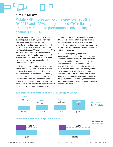## KEY TREND #2:

Mobile PMP impression volume grew over 200% in Q4 2016 and eCPMs nearly doubled YOY, reflecting brand buyers' shift to programmatic advertising channels in 2016.

Advertiser demand is shifting simultaneously toward high-quality inventory and automated transacting, while consumer behavior continues to veer towards mobile-first browsing. The result has led to an increase in popularity for mobile private marketplaces (PMPs). Globally, mobile PMPs reached a historic high in terms of monetized inventory volume in Q4 2016, rising over 200% year over year. This came at the end of a steady increase in year over year volume throughout every quarter of the year.

Mobile web remains the main driver of mobile PMP volume, accounting for three quarters of mobile PMP monetized impressions globally in 2016. The Americas and EMEA both saw app inventory increase in share of monetized impressions. In APAC, however, which remained the smallest portion of the mobile PMP category worldwide with less than 5% of total impressions monetized across our platform, Android app inventory emerged as a

key growth driver, with a more than 40% share in 2016. Android app inventory for private auctions will likely expand in 2017 as advertisers seek to connect with increasingly sophisticated consumers who own devices powered by the leading operating system in the region.

In addition to the growing popularity of programmatic direct transacting, it is clear that the value of the channel to the buy-side is continuing to increase. Mobile PMPs garnered 360% higher eCPMs than the mobile average in Q4 2016, up from a 192% premium a year prior. The increase in pricing differential is a result of a nearly double (92%) year over year increase in mobile PMP eCPMs in Q4 2016. This reflects the shift of more brand direct dollars to programmatic channels; as the quality of demand increases, so too does the quality of the inventory transacted upon, leading to higher eCPMs for PMPs.



### **2016 Mobile PMP Impression Volume & YOY Change (by Quarter)**

Q1 2015 Q1 2016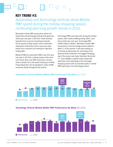## KEY TREND #3:

Automotive and technology verticals drove Mobile PMP spend during the holiday shopping season, continuing year-long growth trends in 2016.

Monetized mobile PMP impressions within the automotive and technology verticals both grew over 350% year over year in Q4 2016. These verticals typically drive consumer spending during the fourth quarter holiday season, when automotive advertisers historically invest in year-end sales events and consumers are looking for high-tech holiday gifts.

Mobile eCPMs for automotive PMPs rose 24% year over year in Q4 2016. Looking closely at the price and volume data, auto PMP impression volumes show a steady rise in the weeks leading up to Black Friday (November 25) during Week 8, while eCPMs remained steady throughout the quarter.

Technology PMPs also fared well during the holiday season, with mobile eCPMs growing 108%, more than double year over year. Technology PMP eCPMs spiked in Week 5. Monetized mobile PMP impressions in the technology vertical spiked in Week 11 of the quarter, in the days leading up to Christmas (December 25). According to the National Retail Federation, the biggest shopping day of the season was Super Saturday, December 17<sup>3</sup>, and PubMatic's platform data shows that advertisers took advantage of the prolonged shopping season with an extended spike in mobile PMP spending on the technology vertical.



#### Automotive Vertical Weekly Mobile PMP Performance By Week (Q4 2016)

#### Technology Vertical Weekly Mobile PMP Performance By Week (Q4 2016)

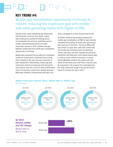## KEY TREND #4:

# Mobile app monetization opportunity continues to mature, reducing the impression gap with mobile web while garnering nearly 60% higher eCPMs.

Outside of the social networking app behemoths that dominate consumer time spent, mobile web continued to provide the leading source of monetization for premium publishers across mobile, representing two-thirds of mobile impression volume in 2016. However, the gap between mobile web and mobile app monetization opportunity is shrinking.

Mobile web remained the top option for monetized mobile ad impressions in absolute terms during 2016, despite an 8% year over year reduction in paid impressions. Alternatively, mobile app paid impression volume increased by 21% during the same period. Over the course of 2016, mobile web's share of impression volume has steadily declined. While web relished a 54-point lead over app in Q1

2016, it dropped to a mere 20-point lead by Q4.

To further reinforce the positive prospects for mobile app monetization, eCPMs for app inventory remained firmly ahead of mobile web, garnering a 59% premium in Q4 2016. This price differential was similar to a year prior, with both mobile web and mobile app inventory prices increasing by similar rates year over year. Despite the premium, advertisers will likely lean more heavily toward apps in order to reach mobile consumers in a space where eMarketer predicts US mobile users will spend almost three and a half hours a day this year. By comparison, the research firm estimates that the daily mobile web usage in the US will remain below 45 minutes per day in 2017<sup>4</sup>.

#### Q1 2016 **MOBILE WEB: 77% MOBILE APP: 23%** Q2 2016 **MOBILE WEB: 66% MOBILE APP: 34%** Q3 2016 **MOBILE WEB: 62% MOBILE APP: 38%** Q4 2016 **MOBILE WEB: 60% MOBILE APP: 40%** Q4 2016 Relative eCPMs and YOY Change (Mobile Web vs. Mobile App) Mobile App Mobile Web +59%

### Mobile Impression Volume Share, Mobile Web vs. Mobile App (by Quarter)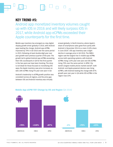## KEY TREND #5:

Android app monetized inventory volumes caught up with iOS in 2016 and will likely surpass iOS in 2017, while Android app eCPMs exceeded their Apple counterparts for the first time.

Mobile app inventory has emerged as a key digital display growth driver globally in 2016, with Android apps leading the charge. Android app eCPMs improved by 79% in Q4 2016 over the same period in 2015, following at least double-digit year over year growth each previous quarter of the year. The growth led to global Android app eCPMs exceeding their iOS counterparts in Q4 for the first quarter in the two years we have been tracking. The story is not bleak for those focused on monetizing iOS apps; the Apple inventory saw price increases as well, with eCPMs rising 5% year over year in Q4.

Android's leadership in eCPM growth position was consistent across all regions, and the price gap between iOS and Android inventory was virtually

erased globally. In North America, where Apple's share of smartphone sales grew from parity with Android in December 2014 to a mere 31.8% share in June 2016 $<sup>5</sup>$ , iOS app inventory saw a slight</sup> decline in average price in Q4 2016. The EMEA region saw the largest rise in mobile app eCPMs across both operating systems, with Android eCPMs rising 110% year over year and iOS eCPMs rising 70% over the same period. In APAC, the world's largest mobile phone market overall<sup>6</sup>, both Android- and Apple-powered devices saw rising eCPM's, with Android leading the charge with 87% growth year over year in Q4 while iOS eCPMs in the region rose 23%.



#### Mobile App eCPM YOY Change by OS and Region (Q4 2016)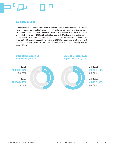#### KEY TREND #5 CONT.

In addition to pricing changes, the volume gap between Android and iOS inventory across our platform disappeared as well by the end of 2016. The share of paid app impressions across the PubMatic platform that were accessed via Apple devices dropped from two-thirds in 2015 to about half of the total in 2016, with Android consisting of 49% of monetized mobile app impressions last year. A closer look reveals that Android-powered devices served almost twothirds (62%) of the mobile app paid impressions in Q4 2016. If recent quarterly trends persist, the Android operating system will likely build a considerable lead in the mobile programmatic space in 2017.

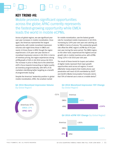## KEY TREND #6:

Mobile provides significant opportunities across the globe; APAC currently represents the fastest-growing opportunity while EMEA leads the world in mobile eCPMs.

Across all global regions, we saw significant year over year increases in mobile monetization. Once again, the Americas represented the largest opportunity, with mobile monetized impression volumes over eight times those in EMEA and nearly 14 times those in APAC though the region experienced a 31% year over year decline in monetized impression volume in Q4 2016. In terms of inventory pricing, the region experiences strong eCPM growth of 36% in Q4 2016 versus Q4 2015. The increase in price is likely due to the advertiser shift in focus towards transacting on higher quality ad inventory programmatically, with 90% of US marketers identifying better targeting as a benefit of programmatic buying<sup>7</sup>.

Despite the Americas' leadership position in global mobile monetization, APAC, the smallest market

for mobile monetization, saw the fastest growth rate for monetized mobile impressions in Q4 2016, increasing by 124% year over year and catching up to EMEA in terms of volume. This substantial growth rate offset the APAC region's eCPM dip of 5% year over year during the same period. The EMEA region, on the other hand, experienced the highest annual growth rate in mobile inventory price, with eCPMs rising 122% in Q4 2016 year over year.

The result of these trends for buyers and sellers of digital media represent that major growth opportunities exist across all regions. A recent eMarketer study projects that mobile phone user penetration will reach 62.6% worldwide by 2020<sup>8</sup>, and Zenith's Media Consumption Forecasts claims that 70% of internet use is now on a mobile device<sup>9</sup>.

#### Q4 2016 Monetized Impression Volume (by Global Region)

#### Q4 2016 Monetized Impression YOY Change (by Global Region)



**-5%** APAC